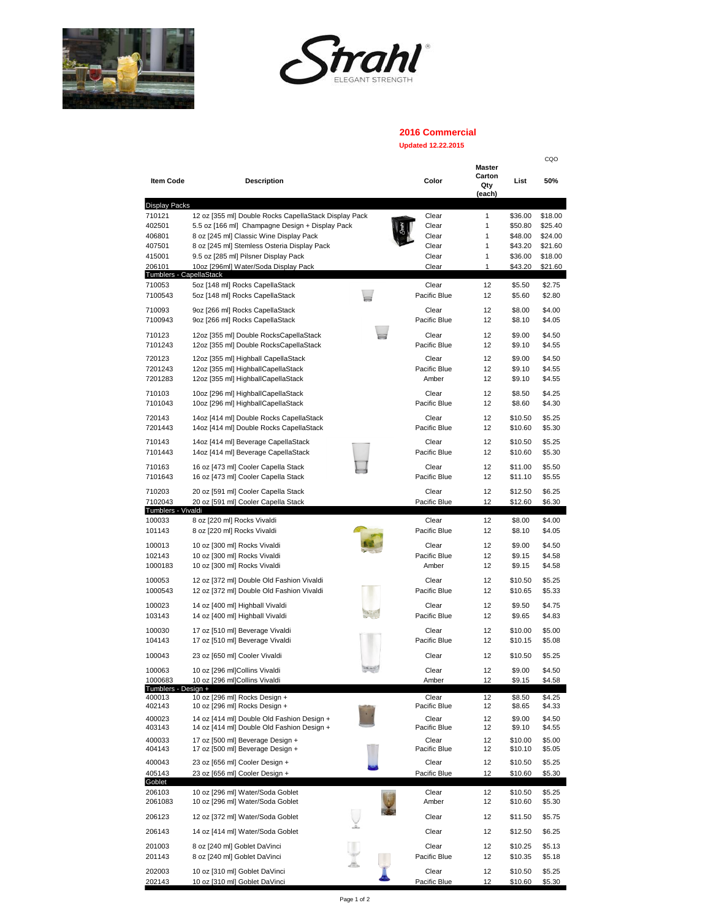



## **2016 Commercial**

## **Updated 12.22.2015**

| <b>Item Code</b>                  | <b>Description</b>                                                         | Color                 | Master<br>Carton<br>Qty<br>(each) | List               | CQO<br>50%       |
|-----------------------------------|----------------------------------------------------------------------------|-----------------------|-----------------------------------|--------------------|------------------|
| <b>Display Packs</b>              |                                                                            |                       |                                   |                    |                  |
| 710121                            | 12 oz [355 ml] Double Rocks CapellaStack Display Pack                      | Clear                 | 1                                 | \$36.00            | \$18.00          |
| 402501                            | 5.5 oz [166 ml] Champagne Design + Display Pack                            | Clear                 | 1                                 | \$50.80            | \$25.40          |
| 406801                            | 8 oz [245 ml] Classic Wine Display Pack                                    | Clear                 | 1                                 | \$48.00            | \$24.00          |
| 407501                            | 8 oz [245 ml] Stemless Osteria Display Pack                                | Clear                 | 1                                 | \$43.20            | \$21.60          |
| 415001                            | 9.5 oz [285 ml] Pilsner Display Pack                                       | Clear                 | 1                                 | \$36.00            | \$18.00          |
| 206101<br>Tumblers - CapellaStack | 10oz [296ml] Water/Soda Display Pack                                       | Clear                 | 1                                 | \$43.20            | \$21.60          |
| 710053                            | 5oz [148 ml] Rocks CapellaStack                                            | Clear                 | 12                                | \$5.50             | \$2.75           |
| 7100543                           | 5oz [148 ml] Rocks CapellaStack                                            | Pacific Blue          | 12                                | \$5.60             | \$2.80           |
| 710093                            | 9oz [266 ml] Rocks CapellaStack                                            | Clear                 | 12                                | \$8.00             | \$4.00           |
| 7100943                           | 9oz [266 ml] Rocks CapellaStack                                            | Pacific Blue          | 12                                | \$8.10             | \$4.05           |
| 710123                            | 12oz [355 ml] Double RocksCapellaStack                                     | Clear                 | 12                                | \$9.00             | \$4.50           |
| 7101243                           | 12oz [355 ml] Double RocksCapellaStack                                     | Pacific Blue          | 12                                | \$9.10             | \$4.55           |
| 720123                            | 12oz [355 ml] Highball CapellaStack                                        | Clear                 | 12                                | \$9.00             | \$4.50           |
| 7201243                           | 12oz [355 ml] HighballCapellaStack                                         | Pacific Blue          | 12                                | \$9.10             | \$4.55           |
| 7201283                           | 12oz [355 ml] HighballCapellaStack                                         | Amber                 | 12                                | \$9.10             | \$4.55           |
| 710103                            | 10oz [296 ml] HighballCapellaStack                                         | Clear                 | 12                                | \$8.50             | \$4.25           |
| 7101043                           | 10oz [296 ml] HighballCapellaStack                                         | Pacific Blue          | 12                                | \$8.60             | \$4.30           |
| 720143                            | 14oz [414 ml] Double Rocks CapellaStack                                    | Clear                 | 12                                | \$10.50            | \$5.25           |
| 7201443                           | 14oz [414 ml] Double Rocks CapellaStack                                    | Pacific Blue          | 12                                | \$10.60            | \$5.30           |
| 710143                            | 14oz [414 ml] Beverage CapellaStack                                        | Clear                 | 12                                | \$10.50            | \$5.25           |
| 7101443                           | 14oz [414 ml] Beverage CapellaStack                                        | Pacific Blue          | 12                                | \$10.60            | \$5.30           |
| 710163                            |                                                                            | Clear                 | 12                                |                    |                  |
| 7101643                           | 16 oz [473 ml] Cooler Capella Stack<br>16 oz [473 ml] Cooler Capella Stack | Pacific Blue          | 12                                | \$11.00<br>\$11.10 | \$5.50<br>\$5.55 |
|                                   |                                                                            |                       |                                   |                    |                  |
| 710203<br>7102043                 | 20 oz [591 ml] Cooler Capella Stack<br>20 oz [591 ml] Cooler Capella Stack | Clear<br>Pacific Blue | 12<br>12                          | \$12.50<br>\$12.60 | \$6.25<br>\$6.30 |
| Tumblers - Vivaldi                |                                                                            |                       |                                   |                    |                  |
| 100033                            | 8 oz [220 ml] Rocks Vivaldi                                                | Clear                 | 12                                | \$8.00             | \$4.00           |
| 101143                            | 8 oz [220 ml] Rocks Vivaldi                                                | Pacific Blue          | 12                                | \$8.10             | \$4.05           |
| 100013                            | 10 oz [300 ml] Rocks Vivaldi                                               | Clear                 | 12                                | \$9.00             | \$4.50           |
| 102143                            | 10 oz [300 ml] Rocks Vivaldi                                               | Pacific Blue          | 12                                | \$9.15             | \$4.58           |
| 1000183                           | 10 oz [300 ml] Rocks Vivaldi                                               | Amber                 | 12                                | \$9.15             | \$4.58           |
| 100053                            | 12 oz [372 ml] Double Old Fashion Vivaldi                                  | Clear                 | 12                                | \$10.50            | \$5.25           |
| 1000543                           | 12 oz [372 ml] Double Old Fashion Vivaldi                                  | Pacific Blue          | 12                                | \$10.65            | \$5.33           |
| 100023                            | 14 oz [400 ml] Highball Vivaldi                                            | Clear                 | 12                                | \$9.50             | \$4.75           |
| 103143                            | 14 oz [400 ml] Highball Vivaldi                                            | Pacific Blue          | 12                                | \$9.65             | \$4.83           |
| 100030                            | 17 oz [510 ml] Beverage Vivaldi                                            | Clear                 | 12                                | \$10.00            | \$5.00           |
| 104143                            | 17 oz [510 ml] Beverage Vivaldi                                            | Pacific Blue          | 12                                | \$10.15            | \$5.08           |
| 100043                            | 23 oz [650 ml] Cooler Vivaldi                                              | Clear                 | 12                                | \$10.50            | \$5.25           |
|                                   |                                                                            | Clear                 | 12                                | \$9.00             |                  |
| 100063<br>1000683                 | 10 oz [296 ml]Collins Vivaldi<br>10 oz [296 ml]Collins Vivaldi             | Amber                 | 12                                | \$9.15             | \$4.50<br>\$4.58 |
| Tumblers - Design +               |                                                                            |                       |                                   |                    |                  |
| 400013<br>402143                  | 10 oz [296 ml] Rocks Design +<br>10 oz [296 ml] Rocks Design +             | Clear<br>Pacific Blue | 12<br>12                          | \$8.50<br>\$8.65   | \$4.25<br>\$4.33 |
| 400023                            | 14 oz [414 ml] Double Old Fashion Design +                                 | Clear                 | 12                                | \$9.00             | \$4.50           |
| 403143                            | 14 oz [414 ml] Double Old Fashion Design +                                 | Pacific Blue          | 12                                | \$9.10             | \$4.55           |
| 400033                            | 17 oz [500 ml] Beverage Design +                                           | Clear                 | 12                                | \$10.00            | \$5.00           |
| 404143                            | 17 oz [500 ml] Beverage Design +                                           | Pacific Blue          | 12                                | \$10.10            | \$5.05           |
| 400043                            | 23 oz [656 ml] Cooler Design +                                             | Clear                 | 12                                | \$10.50            | \$5.25           |
| 405143                            | 23 oz [656 ml] Cooler Design +                                             | Pacific Blue          | 12                                | \$10.60            | \$5.30           |
| Goblet<br>206103                  | 10 oz [296 ml] Water/Soda Goblet                                           | Clear                 | 12                                | \$10.50            | \$5.25           |
| 2061083                           | 10 oz [296 ml] Water/Soda Goblet                                           | Amber                 | 12                                | \$10.60            | \$5.30           |
|                                   |                                                                            |                       |                                   |                    |                  |
| 206123                            | 12 oz [372 ml] Water/Soda Goblet                                           | Clear                 | 12                                | \$11.50            | \$5.75           |
| 206143                            | 14 oz [414 ml] Water/Soda Goblet                                           | Clear                 | 12                                | \$12.50            | \$6.25           |
| 201003                            | 8 oz [240 ml] Goblet DaVinci                                               | Clear                 | 12                                | \$10.25            | \$5.13           |
| 201143                            | 8 oz [240 ml] Goblet DaVinci                                               | Pacific Blue          | 12                                | \$10.35            | \$5.18           |
| 202003                            | 10 oz [310 ml] Goblet DaVinci                                              | Clear                 | 12                                | \$10.50            | \$5.25           |
| 202143                            | 10 oz [310 ml] Goblet DaVinci                                              | Pacific Blue          | 12                                | \$10.60            | \$5.30           |